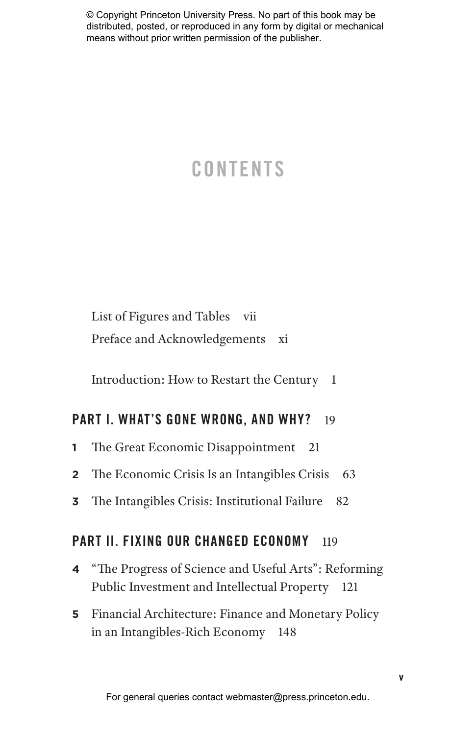# **CONTENTS**

List of Figures and Tables vii Preface and Acknowledgements xi

Introduction: How to Restart the Century 1

## PART I. WHAT'S GONE WRONG, AND WHY? 19

- **1** The Great Economic Disappointment 21
- **2** The Economic Crisis Is an Intangibles Crisis 63
- **3** The Intangibles Crisis: Institutional Failure 82

## PART II. FIXING OUR CHANGED ECONOMY 119

- **4** "The Progress of Science and Useful Arts": Reforming Public Investment and Intellectual Property 121
- **5** Financial Architecture: Finance and Monetary Policy in an Intangibles-Rich Economy 148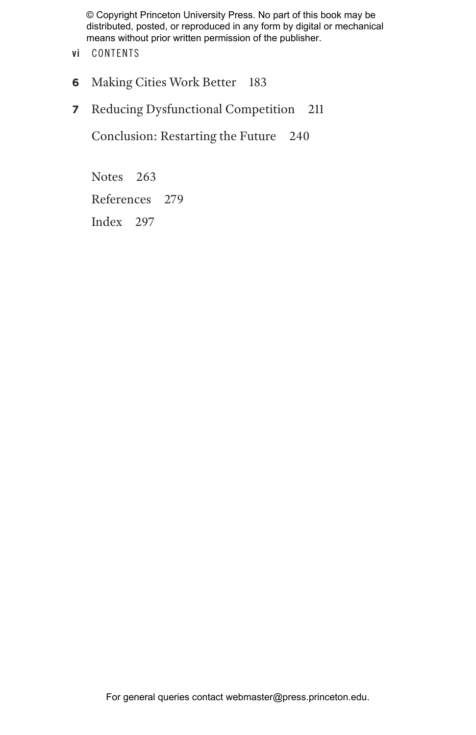- vi CONTENTS
- **6** Making Cities Work Better 183
- **7** Reducing Dysfunctional Competition 211

Conclusion: Restarting the Future 240

Notes 263 References 279 Index 297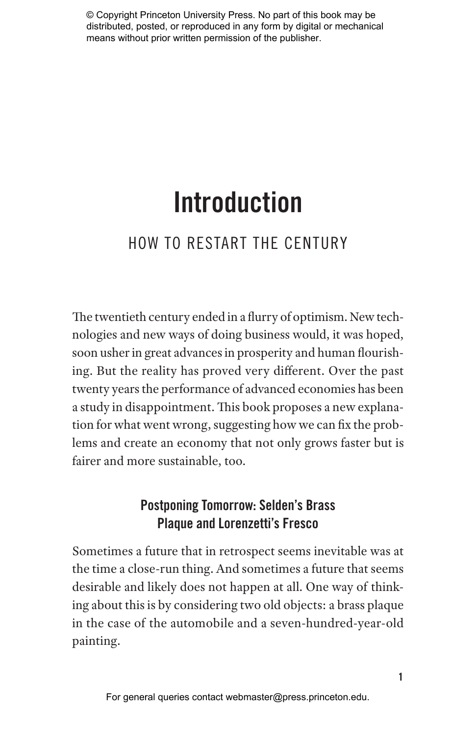# Introduction

# HOW TO RESTART THE CENTURY

The twentieth century ended in a flurry of optimism. New technologies and new ways of doing business would, it was hoped, soon usher in great advances in prosperity and human flourishing. But the reality has proved very different. Over the past twenty years the performance of advanced economies has been a study in disappointment. This book proposes a new explanation for what went wrong, suggesting how we can fix the problems and create an economy that not only grows faster but is fairer and more sustainable, too.

# Postponing Tomorrow: Selden's Brass Plaque and Lorenzetti's Fresco

Sometimes a future that in retrospect seems inevitable was at the time a close-run thing. And sometimes a future that seems desirable and likely does not happen at all. One way of thinking about this is by considering two old objects: a brass plaque in the case of the automobile and a seven-hundred-year-old painting.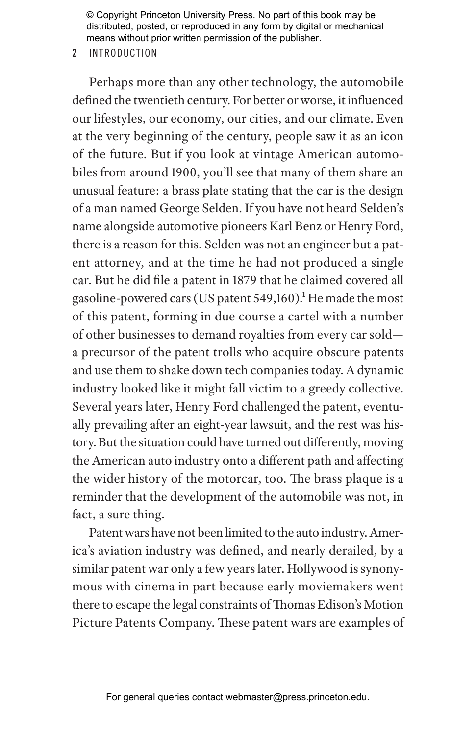2 Introduction

Perhaps more than any other technology, the automobile defined the twentieth century. For better or worse, it influenced our lifestyles, our economy, our cities, and our climate. Even at the very beginning of the century, people saw it as an icon of the future. But if you look at vintage American automobiles from around 1900, you'll see that many of them share an unusual feature: a brass plate stating that the car is the design of a man named George Selden. If you have not heard Selden's name alongside automotive pioneers Karl Benz or Henry Ford, there is a reason for this. Selden was not an engineer but a patent attorney, and at the time he had not produced a single car. But he did file a patent in 1879 that he claimed covered all gasoline-powered cars (US patent  $549,160$ ).<sup>1</sup> He made the most of this patent, forming in due course a cartel with a number of other businesses to demand royalties from every car sold a precursor of the patent trolls who acquire obscure patents and use them to shake down tech companies today. A dynamic industry looked like it might fall victim to a greedy collective. Several years later, Henry Ford challenged the patent, eventually prevailing after an eight-year lawsuit, and the rest was history. But the situation could have turned out differently, moving the American auto industry onto a different path and affecting the wider history of the motorcar, too. The brass plaque is a reminder that the development of the automobile was not, in fact, a sure thing.

Patent wars have not been limited to the auto industry. America's aviation industry was defined, and nearly derailed, by a similar patent war only a few years later. Hollywood is synonymous with cinema in part because early moviemakers went there to escape the legal constraints of Thomas Edison's Motion Picture Patents Company. These patent wars are examples of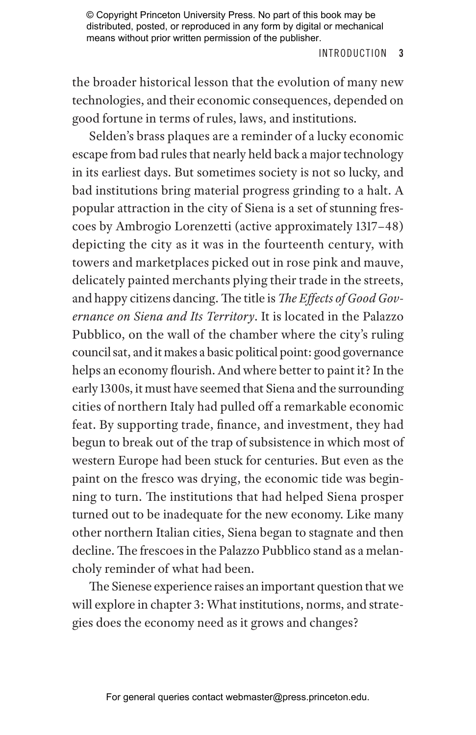#### Introduction 3

the broader historical lesson that the evolution of many new technologies, and their economic consequences, depended on good fortune in terms of rules, laws, and institutions.

Selden's brass plaques are a reminder of a lucky economic escape from bad rules that nearly held back a major technology in its earliest days. But sometimes society is not so lucky, and bad institutions bring material progress grinding to a halt. A popular attraction in the city of Siena is a set of stunning frescoes by Ambrogio Lorenzetti (active approximately 1317–48) depicting the city as it was in the fourteenth century, with towers and marketplaces picked out in rose pink and mauve, delicately painted merchants plying their trade in the streets, and happy citizens dancing. The title is *The Effects of Good Governance on Siena and Its Territory*. It is located in the Palazzo Pubblico, on the wall of the chamber where the city's ruling council sat, and it makes a basic political point: good governance helps an economy flourish. And where better to paint it? In the early 1300s, it must have seemed that Siena and the surrounding cities of northern Italy had pulled off a remarkable economic feat. By supporting trade, finance, and investment, they had begun to break out of the trap of subsistence in which most of western Europe had been stuck for centuries. But even as the paint on the fresco was drying, the economic tide was beginning to turn. The institutions that had helped Siena prosper turned out to be inadequate for the new economy. Like many other northern Italian cities, Siena began to stagnate and then decline. The frescoes in the Palazzo Pubblico stand as a melancholy reminder of what had been.

The Sienese experience raises an important question that we will explore in chapter 3: What institutions, norms, and strategies does the economy need as it grows and changes?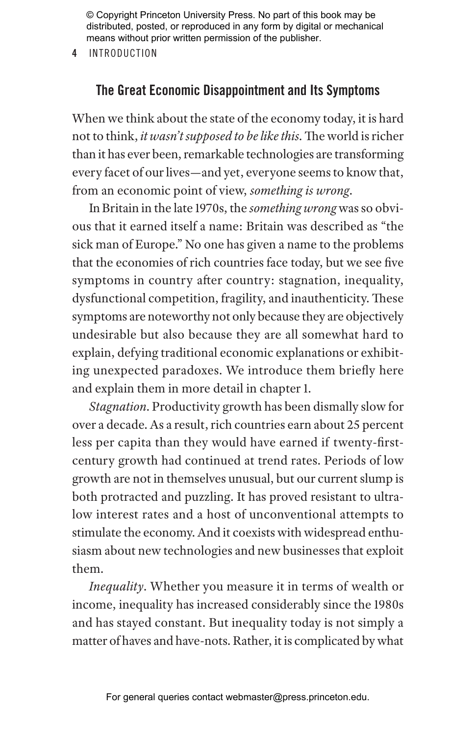4 Introduction

### The Great Economic Disappointment and Its Symptoms

When we think about the state of the economy today, it is hard not to think, *it wasn't supposed to be like this*. The world is richer than it has ever been, remarkable technologies are transforming every facet of our lives—and yet, everyone seems to know that, from an economic point of view, *something is wrong*.

In Britain in the late 1970s, the *something wrong* was so obvious that it earned itself a name: Britain was described as "the sick man of Europe." No one has given a name to the problems that the economies of rich countries face today, but we see five symptoms in country after country: stagnation, inequality, dysfunctional competition, fragility, and inauthenticity. These symptoms are noteworthy not only because they are objectively undesirable but also because they are all somewhat hard to explain, defying traditional economic explanations or exhibiting unexpected paradoxes. We introduce them briefly here and explain them in more detail in chapter 1.

*Stagnation*. Productivity growth has been dismally slow for over a decade. As a result, rich countries earn about 25 percent less per capita than they would have earned if twenty-firstcentury growth had continued at trend rates. Periods of low growth are not in themselves unusual, but our current slump is both protracted and puzzling. It has proved resistant to ultralow interest rates and a host of unconventional attempts to stimulate the economy. And it coexists with widespread enthusiasm about new technologies and new businesses that exploit them.

*Inequality*. Whether you measure it in terms of wealth or income, inequality has increased considerably since the 1980s and has stayed constant. But inequality today is not simply a matter of haves and have-nots. Rather, it is complicated by what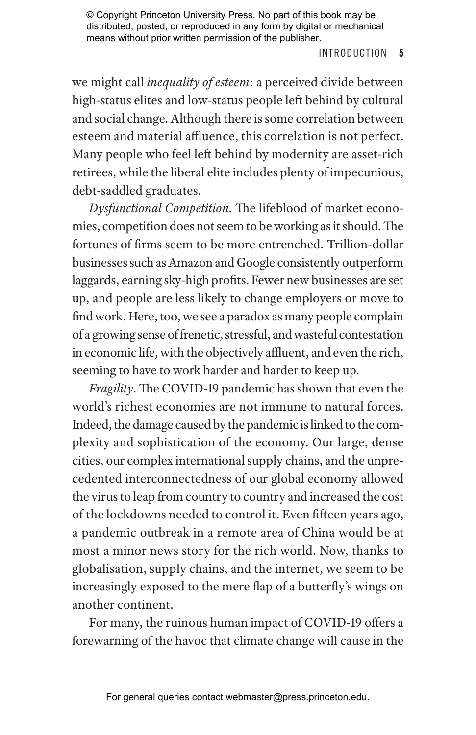#### Introduction 5

we might call *inequality of esteem*: a perceived divide between high-status elites and low-status people left behind by cultural and social change. Although there is some correlation between esteem and material affluence, this correlation is not perfect. Many people who feel left behind by modernity are asset-rich retirees, while the liberal elite includes plenty of impecunious, debt-saddled graduates.

*Dysfunctional Competition*. The lifeblood of market economies, competition does not seem to be working as it should. The fortunes of firms seem to be more entrenched. Trillion-dollar businesses such as Amazon and Google consistently outperform laggards, earning sky-high profits. Fewer new businesses are set up, and people are less likely to change employers or move to find work. Here, too, we see a paradox as many people complain of a growing sense of frenetic, stressful, and wasteful contestation in economic life, with the objectively affluent, and even the rich, seeming to have to work harder and harder to keep up.

*Fragility*. The COVID-19 pandemic has shown that even the world's richest economies are not immune to natural forces. Indeed, the damage caused by the pandemic is linked to the complexity and sophistication of the economy. Our large, dense cities, our complex international supply chains, and the unprecedented interconnectedness of our global economy allowed the virus to leap from country to country and increased the cost of the lockdowns needed to control it. Even fifteen years ago, a pandemic outbreak in a remote area of China would be at most a minor news story for the rich world. Now, thanks to globalisation, supply chains, and the internet, we seem to be increasingly exposed to the mere flap of a butterfly's wings on another continent.

For many, the ruinous human impact of COVID-19 offers a forewarning of the havoc that climate change will cause in the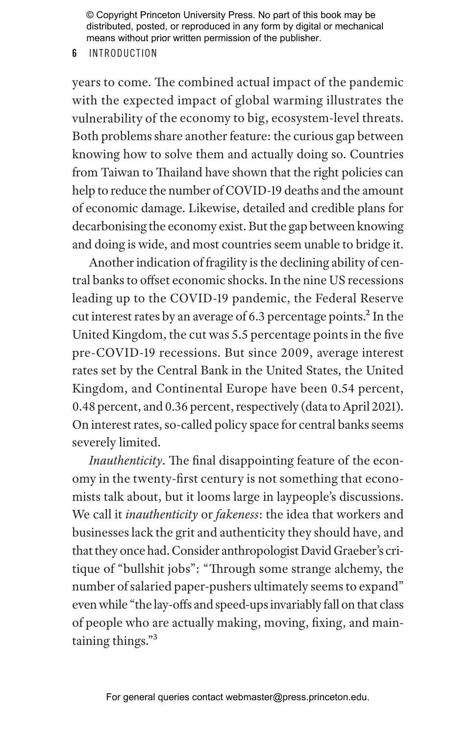6 Introduction

years to come. The combined actual impact of the pandemic with the expected impact of global warming illustrates the vulnerability of the economy to big, ecosystem-level threats. Both problems share another feature: the curious gap between knowing how to solve them and actually doing so. Countries from Taiwan to Thailand have shown that the right policies can help to reduce the number of COVID-19 deaths and the amount of economic damage. Likewise, detailed and credible plans for decarbonising the economy exist. But the gap between knowing and doing is wide, and most countries seem unable to bridge it.

Another indication of fragility is the declining ability of central banks to offset economic shocks. In the nine US recessions leading up to the COVID-19 pandemic, the Federal Reserve cut interest rates by an average of 6.3 percentage points.<sup>2</sup> In the United Kingdom, the cut was 5.5 percentage points in the five pre-COVID-19 recessions. But since 2009, average interest rates set by the Central Bank in the United States, the United Kingdom, and Continental Europe have been 0.54 percent, 0.48 percent, and 0.36 percent, respectively (data to April 2021). On interest rates, so-called policy space for central banks seems severely limited.

*Inauthenticity*. The final disappointing feature of the economy in the twenty-first century is not something that economists talk about, but it looms large in laypeople's discussions. We call it *inauthenticity* or *fakeness*: the idea that workers and businesses lack the grit and authenticity they should have, and that they once had. Consider anthropologist David Graeber's critique of "bullshit jobs": "Through some strange alchemy, the number of salaried paper-pushers ultimately seems to expand" even while "the lay-offs and speed-ups invariably fall on that class of people who are actually making, moving, fixing, and maintaining things."3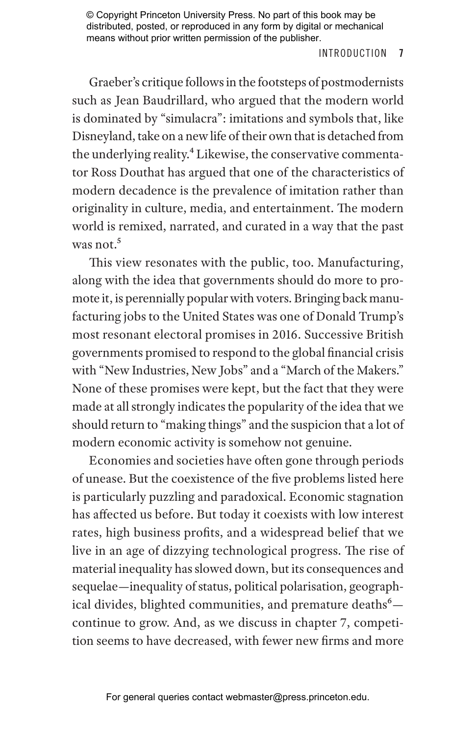#### Introduction 7

Graeber's critique follows in the footsteps of postmodernists such as Jean Baudrillard, who argued that the modern world is dominated by "simulacra": imitations and symbols that, like Disneyland, take on a new life of their own that is detached from the underlying reality.<sup>4</sup> Likewise, the conservative commentator Ross Douthat has argued that one of the characteristics of modern decadence is the prevalence of imitation rather than originality in culture, media, and entertainment. The modern world is remixed, narrated, and curated in a way that the past was not.<sup>5</sup>

This view resonates with the public, too. Manufacturing, along with the idea that governments should do more to promote it, is perennially popular with voters. Bringing back manufacturing jobs to the United States was one of Donald Trump's most resonant electoral promises in 2016. Successive British governments promised to respond to the global financial crisis with "New Industries, New Jobs" and a "March of the Makers." None of these promises were kept, but the fact that they were made at all strongly indicates the popularity of the idea that we should return to "making things" and the suspicion that a lot of modern economic activity is somehow not genuine.

Economies and societies have often gone through periods of unease. But the coexistence of the five problems listed here is particularly puzzling and paradoxical. Economic stagnation has affected us before. But today it coexists with low interest rates, high business profits, and a widespread belief that we live in an age of dizzying technological progress. The rise of material inequality has slowed down, but its consequences and sequelae—inequality of status, political polarisation, geographical divides, blighted communities, and premature deaths<sup>6</sup>continue to grow. And, as we discuss in chapter 7, competition seems to have decreased, with fewer new firms and more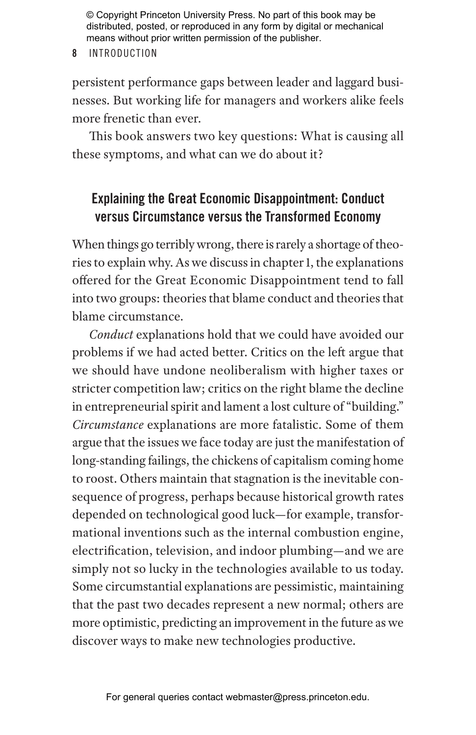8 Introduction

persistent performance gaps between leader and laggard businesses. But working life for managers and workers alike feels more frenetic than ever.

This book answers two key questions: What is causing all these symptoms, and what can we do about it?

# Explaining the Great Economic Disappointment: Conduct versus Circumstance versus the Transformed Economy

When things go terribly wrong, there is rarely a shortage of theories to explain why. As we discuss in chapter 1, the explanations offered for the Great Economic Disappointment tend to fall into two groups: theories that blame conduct and theories that blame circumstance.

*Conduct* explanations hold that we could have avoided our problems if we had acted better. Critics on the left argue that we should have undone neoliberalism with higher taxes or stricter competition law; critics on the right blame the decline in entrepreneurial spirit and lament a lost culture of "building." *Circumstance* explanations are more fatalistic. Some of them argue that the issues we face today are just the manifestation of long-standing failings, the chickens of capitalism coming home to roost. Others maintain that stagnation is the inevitable consequence of progress, perhaps because historical growth rates depended on technological good luck—for example, transformational inventions such as the internal combustion engine, electrification, television, and indoor plumbing—and we are simply not so lucky in the technologies available to us today. Some circumstantial explanations are pessimistic, maintaining that the past two decades represent a new normal; others are more optimistic, predicting an improvement in the future as we discover ways to make new technologies productive.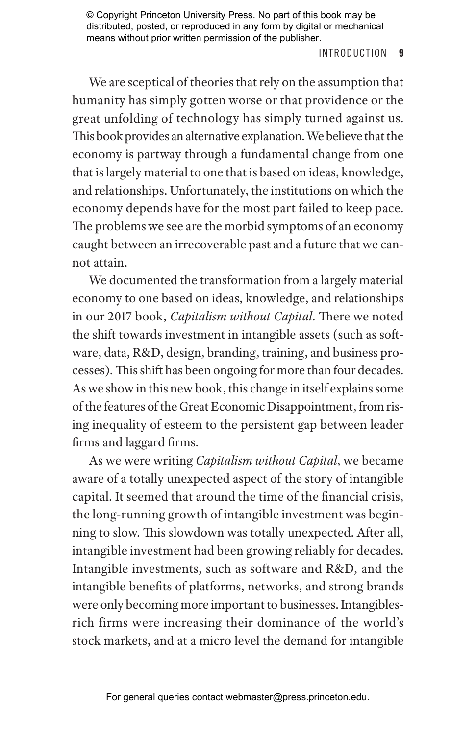#### INTRODUCTION 9

We are sceptical of theories that rely on the assumption that humanity has simply gotten worse or that providence or the great unfolding of technology has simply turned against us. This book provides an alternative explanation. We believe that the economy is partway through a fundamental change from one that is largely material to one that is based on ideas, knowledge, and relationships. Unfortunately, the institutions on which the economy depends have for the most part failed to keep pace. The problems we see are the morbid symptoms of an economy caught between an irrecoverable past and a future that we cannot attain.

We documented the transformation from a largely material economy to one based on ideas, knowledge, and relationships in our 2017 book, *Capitalism without Capital*. There we noted the shift towards investment in intangible assets (such as software, data, R&D, design, branding, training, and business processes). This shift has been ongoing for more than four decades. As we show in this new book, this change in itself explains some of the features of the Great Economic Disappointment, from rising inequality of esteem to the persistent gap between leader firms and laggard firms.

As we were writing *Capitalism without Capital*, we became aware of a totally unexpected aspect of the story of intangible capital. It seemed that around the time of the financial crisis, the long-running growth of intangible investment was beginning to slow. This slowdown was totally unexpected. After all, intangible investment had been growing reliably for decades. Intangible investments, such as software and R&D, and the intangible benefits of platforms, networks, and strong brands were only becoming more important to businesses. Intangiblesrich firms were increasing their dominance of the world's stock markets, and at a micro level the demand for intangible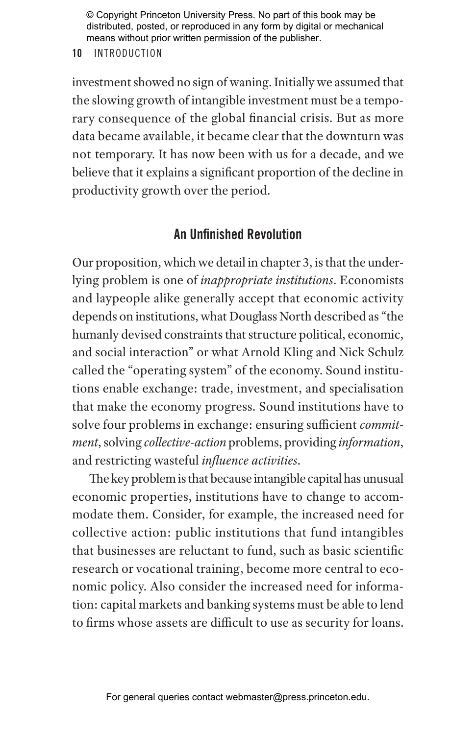10 Introduction

investment showed no sign of waning. Initially we assumed that the slowing growth of intangible investment must be a temporary consequence of the global financial crisis. But as more data became available, it became clear that the downturn was not temporary. It has now been with us for a decade, and we believe that it explains a significant proportion of the decline in productivity growth over the period.

#### An Unfinished Revolution

Our proposition, which we detail in chapter 3, is that the underlying problem is one of *inappropriate institutions*. Economists and laypeople alike generally accept that economic activity depends on institutions, what Douglass North described as "the humanly devised constraints that structure political, economic, and social interaction" or what Arnold Kling and Nick Schulz called the "operating system" of the economy. Sound institutions enable exchange: trade, investment, and specialisation that make the economy progress. Sound institutions have to solve four problems in exchange: ensuring sufficient *commitment*, solving *collective-action* problems, providing *information*, and restricting wasteful *influence activities*.

The key problem is that because intangible capital has unusual economic properties, institutions have to change to accommodate them. Consider, for example, the increased need for collective action: public institutions that fund intangibles that businesses are reluctant to fund, such as basic scientific research or vocational training, become more central to economic policy. Also consider the increased need for information: capital markets and banking systems must be able to lend to firms whose assets are difficult to use as security for loans.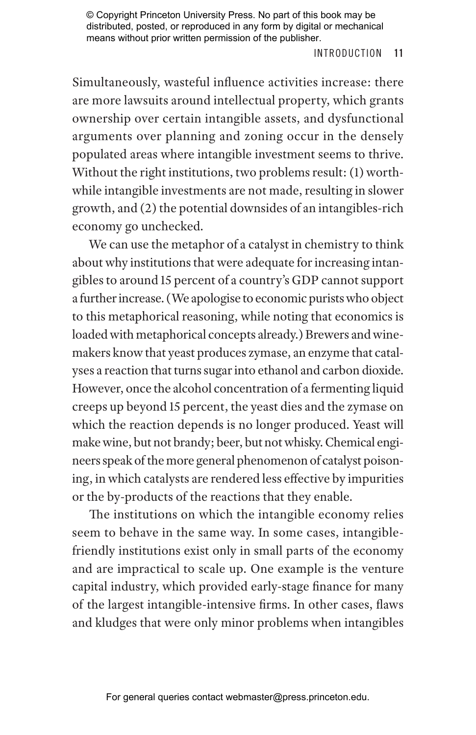#### Introduction 11

Simultaneously, wasteful influence activities increase: there are more lawsuits around intellectual property, which grants ownership over certain intangible assets, and dysfunctional arguments over planning and zoning occur in the densely populated areas where intangible investment seems to thrive. Without the right institutions, two problems result: (1) worthwhile intangible investments are not made, resulting in slower growth, and (2) the potential downsides of an intangibles-rich economy go unchecked.

We can use the metaphor of a catalyst in chemistry to think about why institutions that were adequate for increasing intangibles to around 15 percent of a country's GDP cannot support a further increase. (We apologise to economic purists who object to this metaphorical reasoning, while noting that economics is loaded with metaphorical concepts already.) Brewers and winemakers know that yeast produces zymase, an enzyme that catalyses a reaction that turns sugar into ethanol and carbon dioxide. However, once the alcohol concentration of a fermenting liquid creeps up beyond 15 percent, the yeast dies and the zymase on which the reaction depends is no longer produced. Yeast will make wine, but not brandy; beer, but not whisky. Chemical engineers speak of the more general phenomenon of catalyst poisoning, in which catalysts are rendered less effective by impurities or the by-products of the reactions that they enable.

The institutions on which the intangible economy relies seem to behave in the same way. In some cases, intangiblefriendly institutions exist only in small parts of the economy and are impractical to scale up. One example is the venture capital industry, which provided early-stage finance for many of the largest intangible-intensive firms. In other cases, flaws and kludges that were only minor problems when intangibles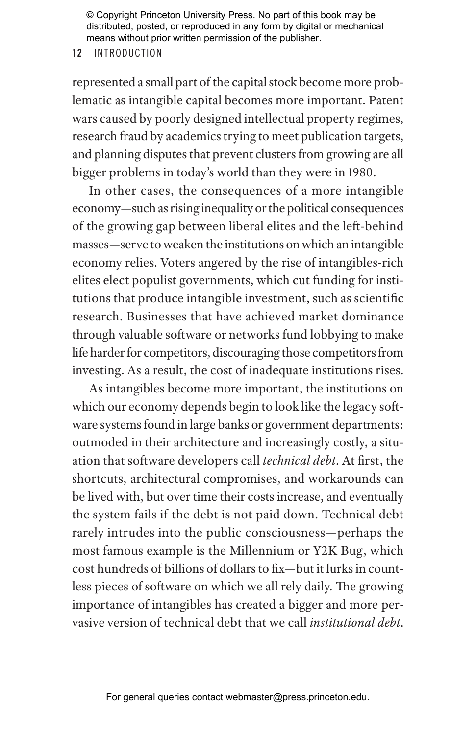#### 12 Introduction

represented a small part of the capital stock become more problematic as intangible capital becomes more important. Patent wars caused by poorly designed intellectual property regimes, research fraud by academics trying to meet publication targets, and planning disputes that prevent clusters from growing are all bigger problems in today's world than they were in 1980.

In other cases, the consequences of a more intangible economy—such as rising inequality or the political consequences of the growing gap between liberal elites and the left-behind masses—serve to weaken the institutions on which an intangible economy relies. Voters angered by the rise of intangibles-rich elites elect populist governments, which cut funding for institutions that produce intangible investment, such as scientific research. Businesses that have achieved market dominance through valuable software or networks fund lobbying to make life harder for competitors, discouraging those competitors from investing. As a result, the cost of inadequate institutions rises.

As intangibles become more important, the institutions on which our economy depends begin to look like the legacy software systems found in large banks or government departments: outmoded in their architecture and increasingly costly, a situation that software developers call *technical debt*. At first, the shortcuts, architectural compromises, and workarounds can be lived with, but over time their costs increase, and eventually the system fails if the debt is not paid down. Technical debt rarely intrudes into the public consciousness—perhaps the most famous example is the Millennium or Y2K Bug, which cost hundreds of billions of dollars to fix—but it lurks in countless pieces of software on which we all rely daily. The growing importance of intangibles has created a bigger and more pervasive version of technical debt that we call *institutional debt*.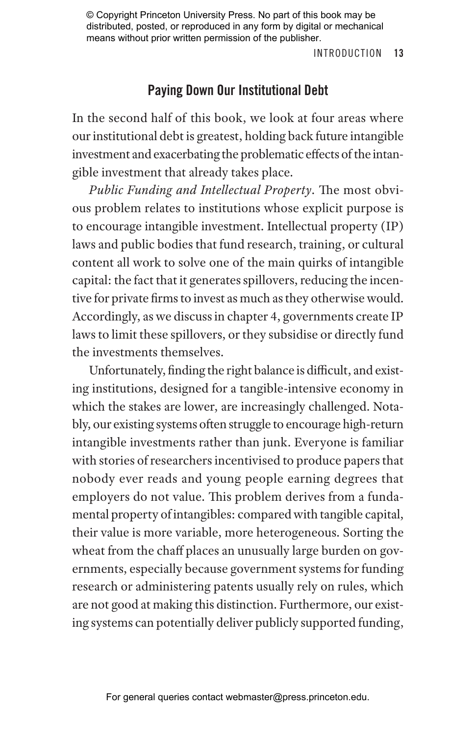Introduction 13

## Paying Down Our Institutional Debt

In the second half of this book, we look at four areas where our institutional debt is greatest, holding back future intangible investment and exacerbating the problematic effects of the intangible investment that already takes place.

*Public Funding and Intellectual Property*. The most obvious problem relates to institutions whose explicit purpose is to encourage intangible investment. Intellectual property (IP) laws and public bodies that fund research, training, or cultural content all work to solve one of the main quirks of intangible capital: the fact that it generates spillovers, reducing the incentive for private firms to invest as much as they otherwise would. Accordingly, as we discuss in chapter 4, governments create IP laws to limit these spillovers, or they subsidise or directly fund the investments themselves.

Unfortunately, finding the right balance is difficult, and existing institutions, designed for a tangible-intensive economy in which the stakes are lower, are increasingly challenged. Notably, our existing systems often struggle to encourage high-return intangible investments rather than junk. Everyone is familiar with stories of researchers incentivised to produce papers that nobody ever reads and young people earning degrees that employers do not value. This problem derives from a fundamental property of intangibles: compared with tangible capital, their value is more variable, more heterogeneous. Sorting the wheat from the chaff places an unusually large burden on governments, especially because government systems for funding research or administering patents usually rely on rules, which are not good at making this distinction. Furthermore, our existing systems can potentially deliver publicly supported funding,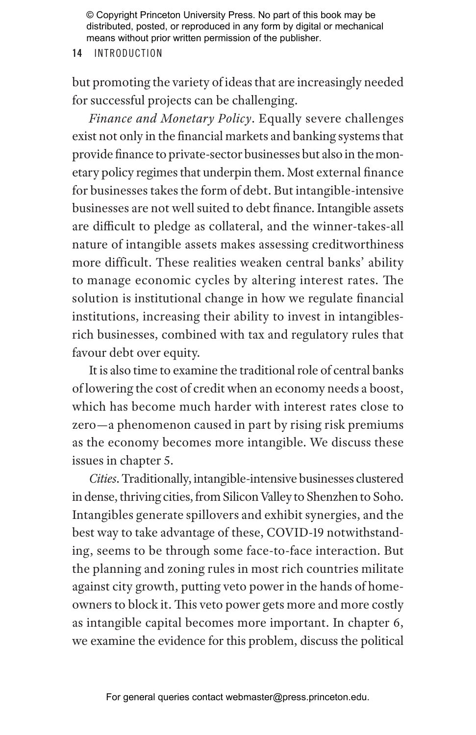14 Introduction

but promoting the variety of ideas that are increasingly needed for successful projects can be challenging.

*Finance and Monetary Policy*. Equally severe challenges exist not only in the financial markets and banking systems that provide finance to private-sector businesses but also in the monetary policy regimes that underpin them. Most external finance for businesses takes the form of debt. But intangible-intensive businesses are not well suited to debt finance. Intangible assets are difficult to pledge as collateral, and the winner-takes-all nature of intangible assets makes assessing creditworthiness more difficult. These realities weaken central banks' ability to manage economic cycles by altering interest rates. The solution is institutional change in how we regulate financial institutions, increasing their ability to invest in intangiblesrich businesses, combined with tax and regulatory rules that favour debt over equity.

It is also time to examine the traditional role of central banks of lowering the cost of credit when an economy needs a boost, which has become much harder with interest rates close to zero—a phenomenon caused in part by rising risk premiums as the economy becomes more intangible. We discuss these issues in chapter 5.

*Cities*. Traditionally, intangible-intensive businesses clustered in dense, thriving cities, from Silicon Valley to Shenzhen to Soho. Intangibles generate spillovers and exhibit synergies, and the best way to take advantage of these, COVID-19 notwithstanding, seems to be through some face-to-face interaction. But the planning and zoning rules in most rich countries militate against city growth, putting veto power in the hands of homeowners to block it. This veto power gets more and more costly as intangible capital becomes more important. In chapter 6, we examine the evidence for this problem, discuss the political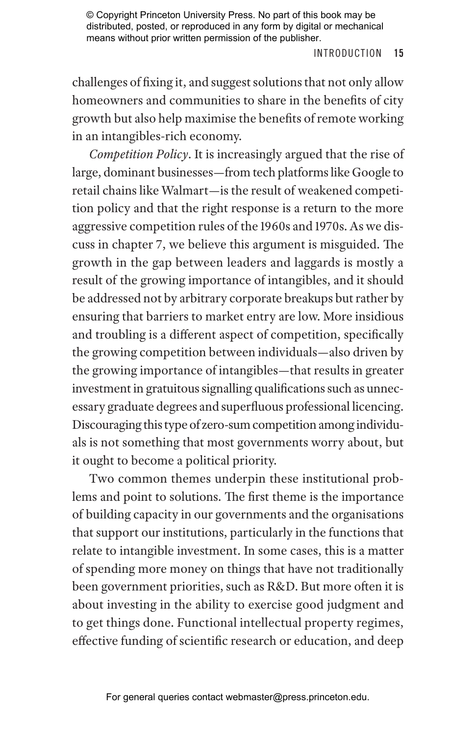#### Introduction 15

challenges of fixing it, and suggest solutions that not only allow homeowners and communities to share in the benefits of city growth but also help maximise the benefits of remote working in an intangibles-rich economy.

*Competition Policy*. It is increasingly argued that the rise of large, dominant businesses—from tech platforms like Google to retail chains like Walmart—is the result of weakened competition policy and that the right response is a return to the more aggressive competition rules of the 1960s and 1970s. As we discuss in chapter 7, we believe this argument is misguided. The growth in the gap between leaders and laggards is mostly a result of the growing importance of intangibles, and it should be addressed not by arbitrary corporate breakups but rather by ensuring that barriers to market entry are low. More insidious and troubling is a different aspect of competition, specifically the growing competition between individuals—also driven by the growing importance of intangibles—that results in greater investment in gratuitous signalling qualifications such as unnecessary graduate degrees and superfluous professional licencing. Discouraging this type of zero-sum competition among individuals is not something that most governments worry about, but it ought to become a political priority.

Two common themes underpin these institutional problems and point to solutions. The first theme is the importance of building capacity in our governments and the organisations that support our institutions, particularly in the functions that relate to intangible investment. In some cases, this is a matter of spending more money on things that have not traditionally been government priorities, such as R&D. But more often it is about investing in the ability to exercise good judgment and to get things done. Functional intellectual property regimes, effective funding of scientific research or education, and deep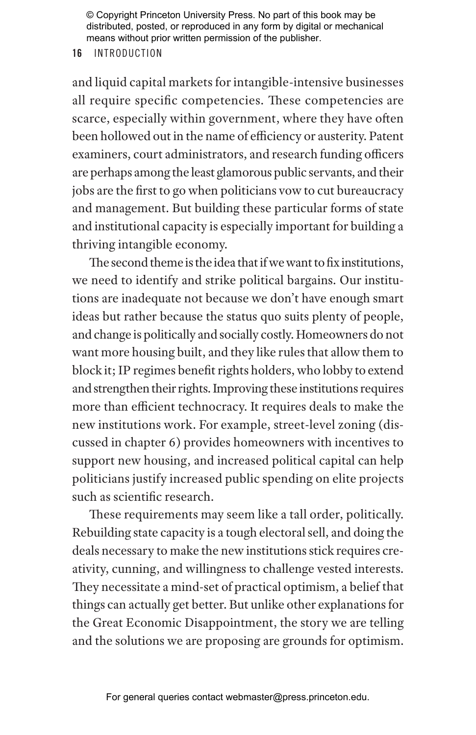#### 16 Introduction

and liquid capital markets for intangible-intensive businesses all require specific competencies. These competencies are scarce, especially within government, where they have often been hollowed out in the name of efficiency or austerity. Patent examiners, court administrators, and research funding officers are perhaps among the least glamorous public servants, and their jobs are the first to go when politicians vow to cut bureaucracy and management. But building these particular forms of state and institutional capacity is especially important for building a thriving intangible economy.

The second theme is the idea that if we want to fix institutions, we need to identify and strike political bargains. Our institutions are inadequate not because we don't have enough smart ideas but rather because the status quo suits plenty of people, and change is politically and socially costly. Homeowners do not want more housing built, and they like rules that allow them to block it; IP regimes benefit rights holders, who lobby to extend and strengthen their rights. Improving these institutions requires more than efficient technocracy. It requires deals to make the new institutions work. For example, street-level zoning (discussed in chapter 6) provides homeowners with incentives to support new housing, and increased political capital can help politicians justify increased public spending on elite projects such as scientific research.

These requirements may seem like a tall order, politically. Rebuilding state capacity is a tough electoral sell, and doing the deals necessary to make the new institutions stick requires creativity, cunning, and willingness to challenge vested interests. They necessitate a mind-set of practical optimism, a belief that things can actually get better. But unlike other explanations for the Great Economic Disappointment, the story we are telling and the solutions we are proposing are grounds for optimism.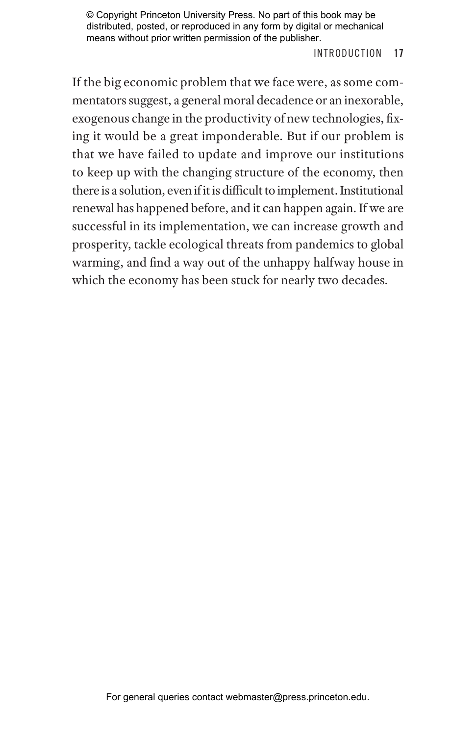#### Introduction 17

If the big economic problem that we face were, as some commentators suggest, a general moral decadence or an inexorable, exogenous change in the productivity of new technologies, fixing it would be a great imponderable. But if our problem is that we have failed to update and improve our institutions to keep up with the changing structure of the economy, then there is a solution, even if it is difficult to implement. Institutional renewal has happened before, and it can happen again. If we are successful in its implementation, we can increase growth and prosperity, tackle ecological threats from pandemics to global warming, and find a way out of the unhappy halfway house in which the economy has been stuck for nearly two decades.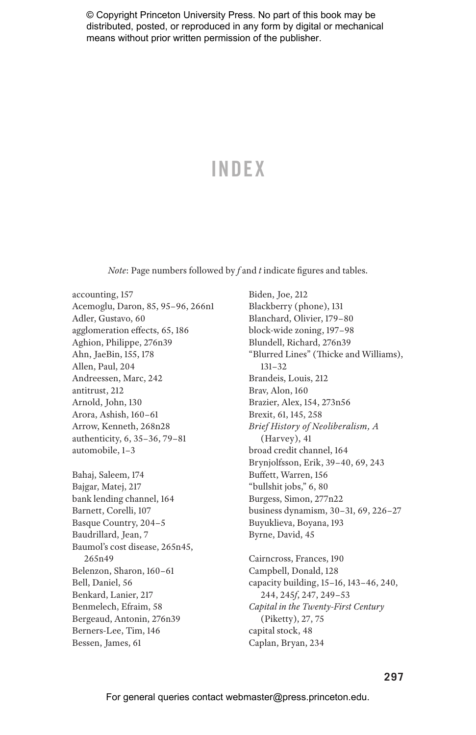# INDEX

*Note*: Page numbers followed by *f* and *t* indicate figures and tables.

accounting, 157 Acemoglu, Daron, 85, 95–96, 266n1 Adler, Gustavo, 60 agglomeration effects, 65, 186 Aghion, Philippe, 276n39 Ahn, JaeBin, 155, 178 Allen, Paul, 204 Andreessen, Marc, 242 antitrust, 212 Arnold, John, 130 Arora, Ashish, 160–61 Arrow, Kenneth, 268n28 authenticity, 6, 35–36, 79–81 automobile, 1–3 Bahaj, Saleem, 174 Bajgar, Matej, 217 bank lending channel, 164 Barnett, Corelli, 107 Basque Country, 204–5 Baudrillard, Jean, 7 Baumol's cost disease, 265n45, 265n49 Belenzon, Sharon, 160–61 Bell, Daniel, 56 Benkard, Lanier, 217 Benmelech, Efraim, 58 Bergeaud, Antonin, 276n39 Berners-Lee, Tim, 146 Bessen, James, 61

Biden, Joe, 212 Blackberry (phone), 131 Blanchard, Olivier, 179–80 block-wide zoning, 197–98 Blundell, Richard, 276n39 "Blurred Lines" (Thicke and Williams), 131–32 Brandeis, Louis, 212 Brav, Alon, 160 Brazier, Alex, 154, 273n56 Brexit, 61, 145, 258 *Brief History of Neoliberalism, A* (Harvey), 41 broad credit channel, 164 Brynjolfsson, Erik, 39–40, 69, 243 Buffett, Warren, 156 "bullshit jobs," 6, 80 Burgess, Simon, 277n22 business dynamism, 30–31, 69, 226–27 Buyuklieva, Boyana, 193 Byrne, David, 45

Cairncross, Frances, 190 Campbell, Donald, 128 capacity building, 15–16, 143–46, 240, 244, 245*f*, 247, 249–53 *Capital in the Twenty-First Century* (Piketty), 27, 75 capital stock, 48 Caplan, Bryan, 234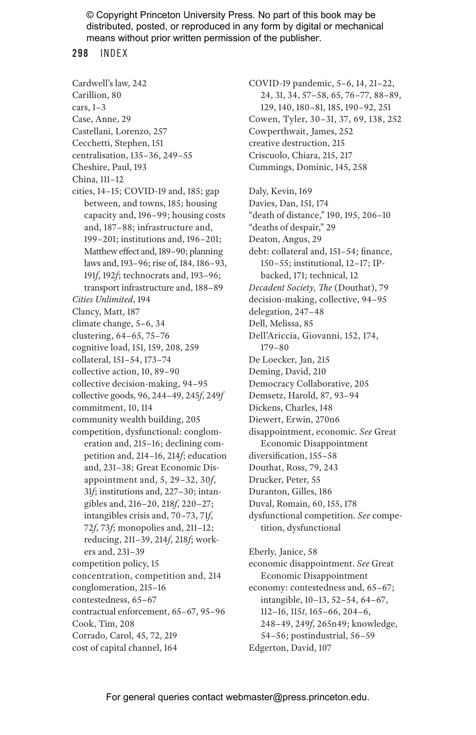#### 298 INDEX

Cardwell's law, 242 Carillion, 80 cars, 1–3 Case, Anne, 29 Castellani, Lorenzo, 257 Cecchetti, Stephen, 151 centralisation, 135–36, 249–55 Cheshire, Paul, 193 China, 111–12 cities, 14–15; COVID-19 and, 185; gap between, and towns, 185; housing capacity and, 196–99; housing costs and, 187–88; infrastructure and, 199–201; institutions and, 196–201; Matthew effect and, 189–90; planning laws and, 193–96; rise of, 184, 186–93, 191*f*, 192*f*; technocrats and, 193–96; transport infrastructure and, 188–89 *Cities Unlimited*, 194 Clancy, Matt, 187 climate change, 5–6, 34 clustering, 64–65, 75–76 cognitive load, 151, 159, 208, 259 collateral, 151–54, 173–74 collective action, 10, 89–90 collective decision-making, 94–95 collective goods, 96, 244–49, 245*f*, 249*f* commitment, 10, 114 community wealth building, 205 competition, dysfunctional: conglomeration and, 215–16; declining competition and, 214–16, 214*f*; education and, 231–38; Great Economic Disappointment and, 5, 29–32, 30*f*, 31*f*; institutions and, 227–30; intangibles and, 216–20, 218*f*, 220–27; intangibles crisis and, 70–73, 71*f*, 72*f*, 73*f*; monopolies and, 211–12; reducing, 211–39, 214*f*, 218*f*; workers and, 231–39 competition policy, 15 concentration, competition and, 214 conglomeration, 215–16 contestedness, 65–67 contractual enforcement, 65–67, 95–96 Cook, Tim, 208 Corrado, Carol, 45, 72, 219 cost of capital channel, 164

COVID-19 pandemic, 5–6, 14, 21–22, 24, 31, 34, 57–58, 65, 76–77, 88–89, 129, 140, 180–81, 185, 190–92, 251 Cowen, Tyler, 30–31, 37, 69, 138, 252 Cowperthwait, James, 252 creative destruction, 215 Criscuolo, Chiara, 215, 217 Cummings, Dominic, 145, 258 Daly, Kevin, 169 Davies, Dan, 151, 174 "death of distance," 190, 195, 206–10 "deaths of despair," 29 Deaton, Angus, 29 debt: collateral and, 151–54; finance, 150–55; institutional, 12–17; IPbacked, 171; technical, 12 *Decadent Society, The* (Douthat), 79 decision-making, collective, 94–95 delegation, 247–48 Dell, Melissa, 85 Dell'Ariccia, Giovanni, 152, 174, 179–80 De Loecker, Jan, 215 Deming, David, 210 Democracy Collaborative, 205 Demsetz, Harold, 87, 93–94 Dickens, Charles, 148 Diewert, Erwin, 270n6 disappointment, economic. *See* Great Economic Disappointment diversification, 155–58 Douthat, Ross, 79, 243 Drucker, Peter, 55

Duranton, Gilles, 186

Duval, Romain, 60, 155, 178

dysfunctional competition. *See* competition, dysfunctional

Eberly, Janice, 58 economic disappointment. *See* Great Economic Disappointment economy: contestedness and, 65–67; intangible, 10–13, 52–54, 64–67, 112–16, 115*t*, 165–66, 204–6, 248–49, 249*f*, 265n49; knowledge, 54–56; postindustrial, 56–59 Edgerton, David, 107

For general queries contact webmaster@press.princeton.edu.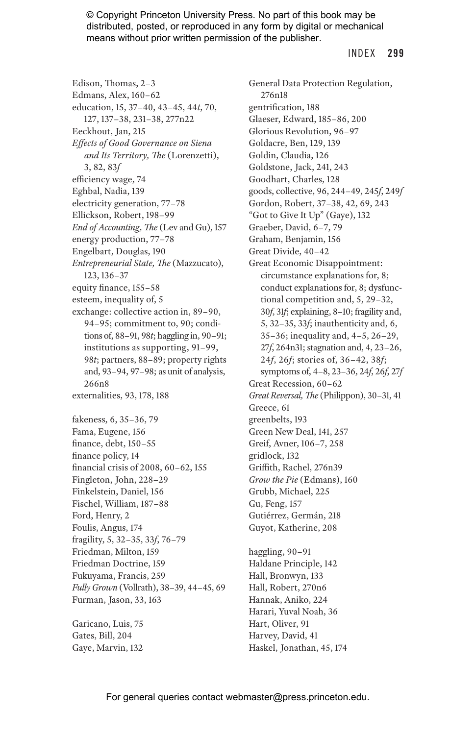#### INDEX 299

- Edison, Thomas, 2–3
- Edmans, Alex, 160–62
- education, 15, 37–40, 43–45, 44*t*, 70,
- 127, 137–38, 231–38, 277n22
- Eeckhout, Jan, 215
- *Effects of Good Governance on Siena and Its Territory, The* (Lorenzetti), 3, 82, 83*f*
- efficiency wage, 74
- Eghbal, Nadia, 139
- electricity generation, 77–78
- Ellickson, Robert, 198–99
- *End of Accounting, The* (Lev and Gu), 157
- energy production, 77–78
- Engelbart, Douglas, 190
- *Entrepreneurial State, The* (Mazzucato), 123, 136–37
- equity finance, 155–58
- esteem, inequality of, 5
- exchange: collective action in, 89–90, 94–95; commitment to, 90; conditions of, 88–91, 98*t*; haggling in, 90–91; institutions as supporting, 91–99, 98*t*; partners, 88–89; property rights and, 93–94, 97–98; as unit of analysis, 266n8
- externalities, 93, 178, 188

fakeness, 6, 35–36, 79 Fama, Eugene, 156 finance, debt, 150–55 finance policy, 14 financial crisis of 2008, 60–62, 155 Fingleton, John, 228–29 Finkelstein, Daniel, 156 Fischel, William, 187–88 Ford, Henry, 2 Foulis, Angus, 174 fragility, 5, 32–35, 33*f*, 76–79 Friedman, Milton, 159 Friedman Doctrine, 159 Fukuyama, Francis, 259 *Fully Grown* (Vollrath), 38–39, 44–45, 69 Furman, Jason, 33, 163

Garicano, Luis, 75 Gates, Bill, 204 Gaye, Marvin, 132 General Data Protection Regulation, 276n18 gentrification, 188 Glaeser, Edward, 185–86, 200 Glorious Revolution, 96–97 Goldacre, Ben, 129, 139 Goldin, Claudia, 126 Goldstone, Jack, 241, 243 Goodhart, Charles, 128 goods, collective, 96, 244–49, 245*f*, 249*f* Gordon, Robert, 37–38, 42, 69, 243 "Got to Give It Up" (Gaye), 132 Graeber, David, 6–7, 79 Graham, Benjamin, 156 Great Divide, 40–42 Great Economic Disappointment: circumstance explanations for, 8; conduct explanations for, 8; dysfunctional competition and, 5, 29–32, 30*f*, 31*f*; explaining, 8–10; fragility and, 5, 32–35, 33*f*; inauthenticity and, 6, 35–36; inequality and, 4–5, 26–29, 27*f*, 264n31; stagnation and, 4, 23–26, 24*f*, 26*f*; stories of, 36–42, 38*f*; symptoms of, 4–8, 23–36, 24*f*, 26*f*, 27*f* Great Recession, 60–62 *Great Reversal, The* (Philippon), 30–31, 41 Greece, 61 greenbelts, 193 Green New Deal, 141, 257 Greif, Avner, 106–7, 258 gridlock, 132 Griffith, Rachel, 276n39 *Grow the Pie* (Edmans), 160 Grubb, Michael, 225 Gu, Feng, 157 Gutiérrez, Germán, 218 Guyot, Katherine, 208 haggling, 90–91 Haldane Principle, 142 Hall, Bronwyn, 133 Hall, Robert, 270n6

Hannak, Aniko, 224 Harari, Yuval Noah, 36 Hart, Oliver, 91 Harvey, David, 41 Haskel, Jonathan, 45, 174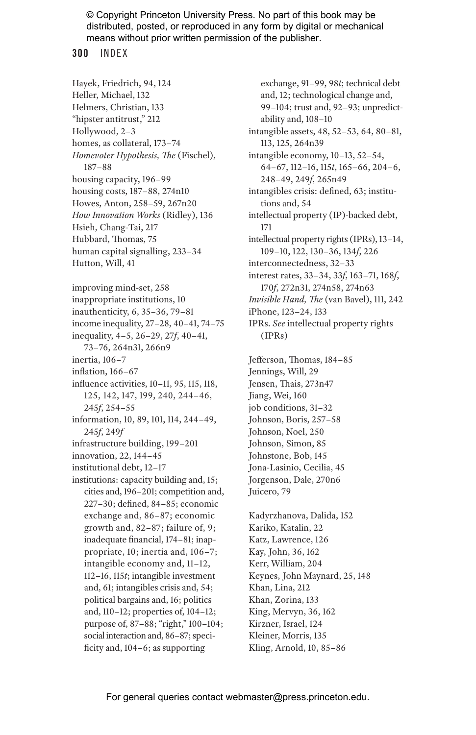#### 300 INDEX

Hayek, Friedrich, 94, 124 Heller, Michael, 132 Helmers, Christian, 133 "hipster antitrust," 212 Hollywood, 2–3 homes, as collateral, 173–74 *Homevoter Hypothesis, The* (Fischel), 187–88 housing capacity, 196–99 housing costs, 187–88, 274n10 Howes, Anton, 258–59, 267n20 *How Innovation Works* (Ridley), 136 Hsieh, Chang-Tai, 217 Hubbard, Thomas, 75 human capital signalling, 233–34 Hutton, Will, 41 improving mind-set, 258 inappropriate institutions, 10 inauthenticity, 6, 35–36, 79–81 income inequality, 27–28, 40–41, 74–75 inequality, 4–5, 26–29, 27*f*, 40–41, 73–76, 264n31, 266n9 inertia, 106–7 inflation, 166–67 influence activities, 10–11, 95, 115, 118, 125, 142, 147, 199, 240, 244–46, 245*f*, 254–55 information, 10, 89, 101, 114, 244–49, 245*f*, 249*f* infrastructure building, 199–201 innovation, 22, 144–45 institutional debt, 12–17 institutions: capacity building and, 15; cities and, 196–201; competition and, 227–30; defined, 84–85; economic exchange and, 86–87; economic growth and, 82–87; failure of, 9; inadequate financial, 174–81; inappropriate, 10; inertia and, 106–7; intangible economy and, 11–12, 112–16, 115*t*; intangible investment and, 61; intangibles crisis and, 54; political bargains and, 16; politics and, 110–12; properties of, 104–12; purpose of, 87–88; "right," 100–104; social interaction and, 86–87; specificity and, 104–6; as supporting

exchange, 91–99, 98*t*; technical debt and, 12; technological change and, 99–104; trust and, 92–93; unpredictability and, 108–10 intangible assets, 48, 52–53, 64, 80–81, 113, 125, 264n39 intangible economy, 10–13, 52–54, 64–67, 112–16, 115*t*, 165–66, 204–6, 248–49, 249*f*, 265n49 intangibles crisis: defined, 63; institutions and, 54 intellectual property (IP)-backed debt, 171 intellectual property rights (IPRs), 13–14, 109–10, 122, 130–36, 134*f*, 226 interconnectedness, 32–33 interest rates, 33–34, 33*f*, 163–71, 168*f*, 170*f*, 272n31, 274n58, 274n63 *Invisible Hand, The* (van Bavel), 111, 242 iPhone, 123–24, 133 IPRs. *See* intellectual property rights (IPRs)

Jefferson, Thomas, 184–85 Jennings, Will, 29 Jensen, Thais, 273n47 Jiang, Wei, 160 job conditions, 31–32 Johnson, Boris, 257–58 Johnson, Noel, 250 Johnson, Simon, 85 Johnstone, Bob, 145 Jona-Lasinio, Cecilia, 45 Jorgenson, Dale, 270n6 Juicero, 79

Kadyrzhanova, Dalida, 152 Kariko, Katalin, 22 Katz, Lawrence, 126 Kay, John, 36, 162 Kerr, William, 204 Keynes, John Maynard, 25, 148 Khan, Lina, 212 Khan, Zorina, 133 King, Mervyn, 36, 162 Kirzner, Israel, 124 Kleiner, Morris, 135 Kling, Arnold, 10, 85–86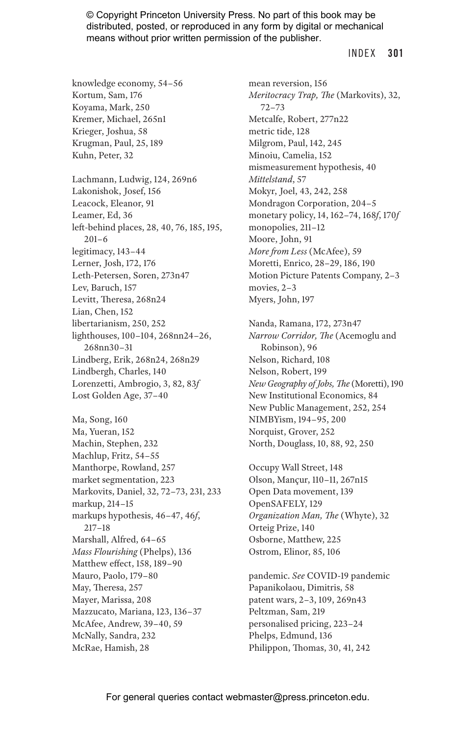#### INDEX 301

knowledge economy, 54–56 Kortum, Sam, 176 Koyama, Mark, 250 Kremer, Michael, 265n1 Krieger, Joshua, 58 Krugman, Paul, 25, 189 Kuhn, Peter, 32 Lachmann, Ludwig, 124, 269n6 Lakonishok, Josef, 156 Leacock, Eleanor, 91 Leamer, Ed, 36 left-behind places, 28, 40, 76, 185, 195, 201–6 legitimacy, 143–44 Lerner, Josh, 172, 176 Leth-Petersen, Soren, 273n47 Lev, Baruch, 157 Levitt, Theresa, 268n24 Lian, Chen, 152 libertarianism, 250, 252 lighthouses, 100–104, 268nn24–26, 268nn30–31 Lindberg, Erik, 268n24, 268n29 Lindbergh, Charles, 140 Lorenzetti, Ambrogio, 3, 82, 83*f* Lost Golden Age, 37–40 Ma, Song, 160 Ma, Yueran, 152 Machin, Stephen, 232 Machlup, Fritz, 54–55 Manthorpe, Rowland, 257 market segmentation, 223 Markovits, Daniel, 32, 72–73, 231, 233 markup, 214–15 markups hypothesis, 46–47, 46*f*, 217–18 Marshall, Alfred, 64–65 *Mass Flourishing* (Phelps), 136 Matthew effect, 158, 189–90 Mauro, Paolo, 179–80 May, Theresa, 257 Mayer, Marissa, 208 Mazzucato, Mariana, 123, 136–37 McAfee, Andrew, 39–40, 59 McNally, Sandra, 232 McRae, Hamish, 28

mean reversion, 156 *Meritocracy Trap, The* (Markovits), 32, 72–73 Metcalfe, Robert, 277n22 metric tide, 128 Milgrom, Paul, 142, 245 Minoiu, Camelia, 152 mismeasurement hypothesis, 40 *Mittelstand*, 57 Mokyr, Joel, 43, 242, 258 Mondragon Corporation, 204–5 monetary policy, 14, 162–74, 168*f*, 170*f* monopolies, 211–12 Moore, John, 91 *More from Less* (McAfee), 59 Moretti, Enrico, 28–29, 186, 190 Motion Picture Patents Company, 2–3 movies, 2–3 Myers, John, 197

Nanda, Ramana, 172, 273n47 *Narrow Corridor, The* (Acemoglu and Robinson), 96 Nelson, Richard, 108 Nelson, Robert, 199 *New Geography of Jobs, The* (Moretti), 190 New Institutional Economics, 84 New Public Management, 252, 254 NIMBYism, 194–95, 200 Norquist, Grover, 252 North, Douglass, 10, 88, 92, 250

Occupy Wall Street, 148 Olson, Mançur, 110–11, 267n15 Open Data movement, 139 OpenSAFELY, 129 *Organization Man, The* (Whyte), 32 Orteig Prize, 140 Osborne, Matthew, 225 Ostrom, Elinor, 85, 106

pandemic. *See* COVID-19 pandemic Papanikolaou, Dimitris, 58 patent wars, 2–3, 109, 269n43 Peltzman, Sam, 219 personalised pricing, 223–24 Phelps, Edmund, 136 Philippon, Thomas, 30, 41, 242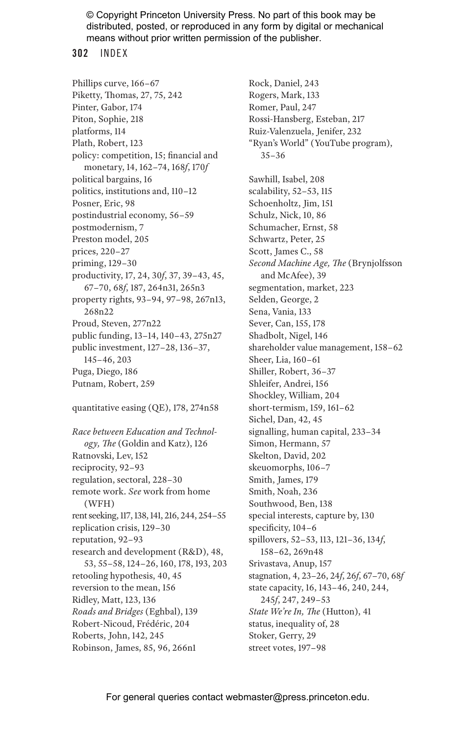#### 302 INDEX

Phillips curve, 166–67 Piketty, Thomas, 27, 75, 242 Pinter, Gabor, 174 Piton, Sophie, 218 platforms, 114 Plath, Robert, 123 policy: competition, 15; financial and monetary, 14, 162–74, 168*f*, 170*f* political bargains, 16 politics, institutions and, 110–12 Posner, Eric, 98 postindustrial economy, 56–59 postmodernism, 7 Preston model, 205 prices, 220–27 priming, 129–30 productivity, 17, 24, 30*f*, 37, 39–43, 45, 67–70, 68*f*, 187, 264n31, 265n3 property rights, 93–94, 97–98, 267n13, 268n22 Proud, Steven, 277n22 public funding, 13–14, 140–43, 275n27 public investment, 127–28, 136–37, 145–46, 203 Puga, Diego, 186 Putnam, Robert, 259 quantitative easing (QE), 178, 274n58

*Race between Education and Technology, The* (Goldin and Katz), 126 Ratnovski, Lev, 152 reciprocity, 92–93 regulation, sectoral, 228–30 remote work. *See* work from home (WFH) rent seeking, 117, 138, 141, 216, 244, 254–55 replication crisis, 129–30 reputation, 92–93 research and development (R&D), 48, 53, 55–58, 124–26, 160, 178, 193, 203 retooling hypothesis, 40, 45 reversion to the mean, 156 Ridley, Matt, 123, 136 *Roads and Bridges* (Eghbal), 139 Robert-Nicoud, Frédéric, 204 Roberts, John, 142, 245 Robinson, James, 85, 96, 266n1

Rock, Daniel, 243 Rogers, Mark, 133 Romer, Paul, 247 Rossi-Hansberg, Esteban, 217 Ruiz-Valenzuela, Jenifer, 232 "Ryan's World" (YouTube program), 35–36 Sawhill, Isabel, 208 scalability, 52–53, 115 Schoenholtz, Jim, 151 Schulz, Nick, 10, 86 Schumacher, Ernst, 58 Schwartz, Peter, 25 Scott, James C., 58 *Second Machine Age, The* (Brynjolfsson and McAfee), 39 segmentation, market, 223 Selden, George, 2 Sena, Vania, 133 Sever, Can, 155, 178 Shadbolt, Nigel, 146 shareholder value management, 158–62 Sheer, Lia, 160–61 Shiller, Robert, 36–37 Shleifer, Andrei, 156 Shockley, William, 204 short-termism, 159, 161–62 Sichel, Dan, 42, 45 signalling, human capital, 233–34 Simon, Hermann, 57 Skelton, David, 202 skeuomorphs, 106–7 Smith, James, 179 Smith, Noah, 236 Southwood, Ben, 138 special interests, capture by, 130 specificity, 104–6 spillovers, 52–53, 113, 121–36, 134*f*, 158–62, 269n48 Srivastava, Anup, 157 stagnation, 4, 23–26, 24*f*, 26*f*, 67–70, 68*f* state capacity, 16, 143–46, 240, 244, 245*f*, 247, 249–53 *State We're In, The* (Hutton), 41 status, inequality of, 28 Stoker, Gerry, 29 street votes, 197–98